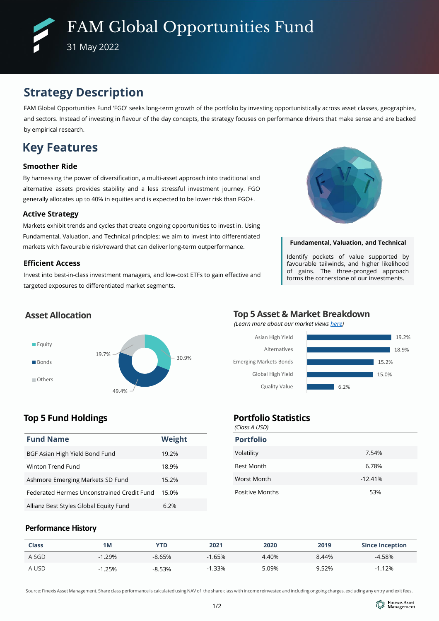# **Strategy Description**

FAM Global Opportunities Fund 'FGO' seeks long-term growth of the portfolio by investing opportunistically across asset classes, geographies, and sectors. Instead of investing in flavour of the day concepts, the strategy focuses on performance drivers that make sense and are backed by empirical research.

# **Key Features**

## **Smoother Ride**

By harnessing the power of diversification, a multi-asset approach into traditional and alternative assets provides stability and a less stressful investment journey. FGO generally allocates up to 40% in equities and is expected to be lower risk than FGO+.

## **Active Strategy**

Markets exhibit trends and cycles that create ongoing opportunities to invest in. Using Fundamental, Valuation, and Technical principles; we aim to invest into differentiated markets with favourable risk/reward that can deliver long-term outperformance.

## **Efficient Access**

Invest into best-in-class investment managers, and low-cost ETFs to gain effective and targeted exposures to differentiated market segments.



## **Fundamental, Valuation, and Technical**

Identify pockets of value supported by favourable tailwinds, and higher likelihood of gains. The three-pronged approach forms the cornerstone of our investments.

## **Asset Allocation**



## **Top 5 Fund Holdings**

| <b>Fund Name</b>                           | Weight |
|--------------------------------------------|--------|
| BGF Asian High Yield Bond Fund             | 19.2%  |
| Winton Trend Fund                          | 18.9%  |
| Ashmore Emerging Markets SD Fund           | 15.2%  |
| Federated Hermes Unconstrained Credit Fund | 15.0%  |
| Allianz Best Styles Global Equity Fund     | 6.2%   |

# **Top 5 Asset & Market Breakdown**

*(Learn more about our market views [here\)](https://www.finexisam.com/publication/monthly/FAM_Commentary_Detailed%20Report_202206.pdf)*



## **Portfolio Statistics**

*(Class A USD)*

| <b>Portfolio</b>       |           |
|------------------------|-----------|
| Volatility             | 7.54%     |
| <b>Best Month</b>      | 6.78%     |
| Worst Month            | $-12.41%$ |
| <b>Positive Months</b> | 53%       |

## **Performance History**

| <b>Class</b> | 1M       | YTD      | 2021     | 2020  | 2019  | <b>Since Inception</b> |
|--------------|----------|----------|----------|-------|-------|------------------------|
| A SGD        | $-1.29%$ | $-8.65%$ | $-1.65%$ | 4.40% | 8.44% | $-4.58\%$              |
| A USD        | $-1.25%$ | $-8.53%$ | $-1.33%$ | 5.09% | 9.52% | 1.12%                  |

Source: Finexis Asset Management. Share class performance is calculated using NAV of the share class with income reinvested and including ongoing charges, excluding any entry and exit fees.